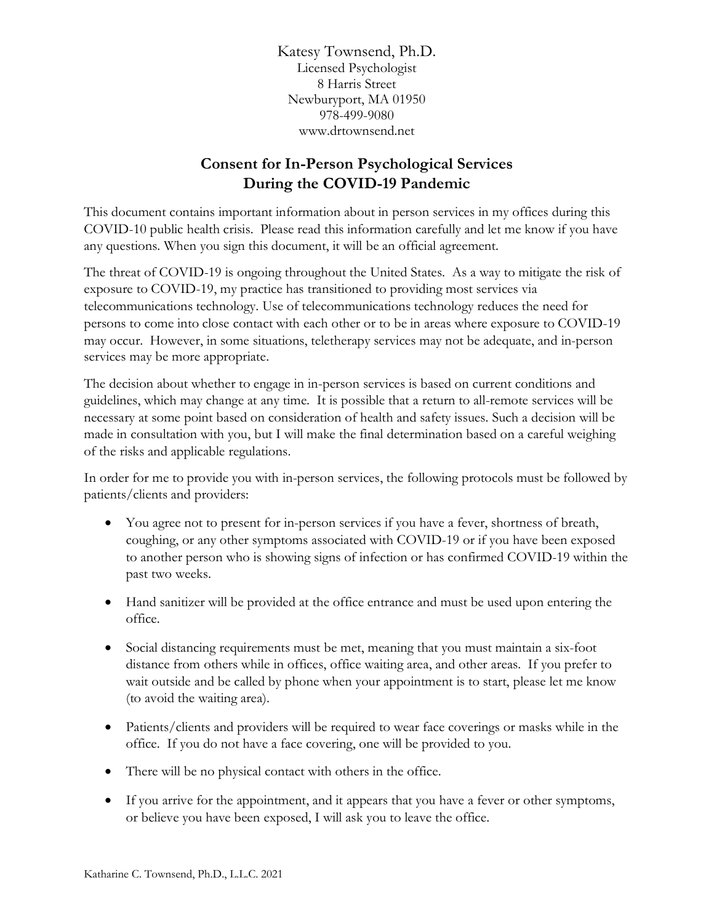Katesy Townsend, Ph.D. Licensed Psychologist 8 Harris Street Newburyport, MA 01950 978-499-9080 www.drtownsend.net

## **Consent for In-Person Psychological Services During the COVID-19 Pandemic**

This document contains important information about in person services in my offices during this COVID-10 public health crisis. Please read this information carefully and let me know if you have any questions. When you sign this document, it will be an official agreement.

The threat of COVID-19 is ongoing throughout the United States. As a way to mitigate the risk of exposure to COVID-19, my practice has transitioned to providing most services via telecommunications technology. Use of telecommunications technology reduces the need for persons to come into close contact with each other or to be in areas where exposure to COVID-19 may occur. However, in some situations, teletherapy services may not be adequate, and in-person services may be more appropriate.

The decision about whether to engage in in-person services is based on current conditions and guidelines, which may change at any time. It is possible that a return to all-remote services will be necessary at some point based on consideration of health and safety issues. Such a decision will be made in consultation with you, but I will make the final determination based on a careful weighing of the risks and applicable regulations.

In order for me to provide you with in-person services, the following protocols must be followed by patients/clients and providers:

- You agree not to present for in-person services if you have a fever, shortness of breath, coughing, or any other symptoms associated with COVID-19 or if you have been exposed to another person who is showing signs of infection or has confirmed COVID-19 within the past two weeks.
- Hand sanitizer will be provided at the office entrance and must be used upon entering the office.
- Social distancing requirements must be met, meaning that you must maintain a six-foot distance from others while in offices, office waiting area, and other areas. If you prefer to wait outside and be called by phone when your appointment is to start, please let me know (to avoid the waiting area).
- Patients/clients and providers will be required to wear face coverings or masks while in the office. If you do not have a face covering, one will be provided to you.
- There will be no physical contact with others in the office.
- If you arrive for the appointment, and it appears that you have a fever or other symptoms, or believe you have been exposed, I will ask you to leave the office.